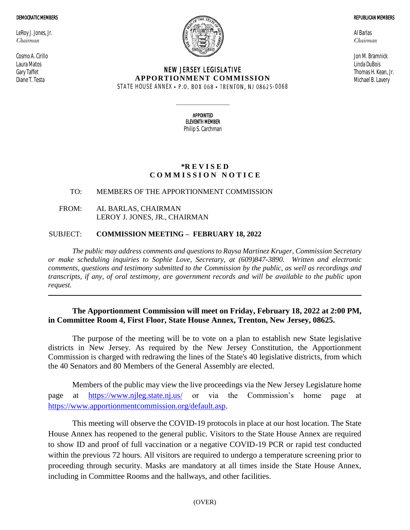#### DEMOCRATIC MEMBERS

LeRoy J. Jones, Jr. *Chairman*

Cosmo A. Cirillo Laura Matos Gary Taffet Diane T. Testa



### NEW JERSEY LEGISLATIVE **APPORTIONMENT COMMISSION** STATE HOUSE ANNEX • P.O. BOX 068 • TRENTON, NJ 08625-0068

Al Barlas *Chairman*

Jon M. Bramnick Linda DuBois Thomas H. Kean, Jr. Michael B. Lavery

REPUBLICAN MEMBERS

APPOINTED ELEVENTH MEMBER Philip S. Carchman

 $\_$ 

## **\*R E V I S E D C O M M I S S I O N N O T I C E**

## TO: MEMBERS OF THE APPORTIONMENT COMMISSION

FROM: AL BARLAS, CHAIRMAN LEROY J. JONES, JR., CHAIRMAN

## SUBJECT: **COMMISSION MEETING – FEBRUARY 18, 2022**

*The public may address comments and questions to Raysa Martinez Kruger, Commission Secretary or make scheduling inquiries to Sophie Love, Secretary, at (609)847-3890. Written and electronic comments, questions and testimony submitted to the Commission by the public, as well as recordings and transcripts, if any, of oral testimony, are government records and will be available to the public upon request.*

# **The Apportionment Commission will meet on Friday, February 18, 2022 at 2:00 PM, in Committee Room 4, First Floor, State House Annex, Trenton, New Jersey, 08625.**

The purpose of the meeting will be to vote on a plan to establish new State legislative districts in New Jersey. As required by the New Jersey Constitution, the Apportionment Commission is charged with redrawing the lines of the State's 40 legislative districts, from which the 40 Senators and 80 Members of the General Assembly are elected.

Members of the public may view the live proceedings via the New Jersey Legislature home page at <https://www.njleg.state.nj.us/> or via the Commission's home page at [https://www.apportionmentcommission.org/default.asp.](https://www.apportionmentcommission.org/default.asp)

This meeting will observe the COVID-19 protocols in place at our host location. The State House Annex has reopened to the general public. Visitors to the State House Annex are required to show ID and proof of full vaccination or a negative COVID-19 PCR or rapid test conducted within the previous 72 hours. All visitors are required to undergo a temperature screening prior to proceeding through security. Masks are mandatory at all times inside the State House Annex, including in Committee Rooms and the hallways, and other facilities.